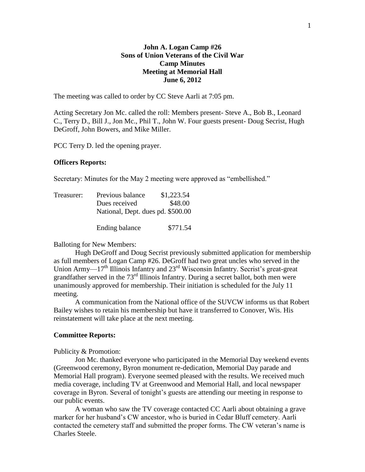# **John A. Logan Camp #26 Sons of Union Veterans of the Civil War Camp Minutes Meeting at Memorial Hall June 6, 2012**

The meeting was called to order by CC Steve Aarli at 7:05 pm.

Acting Secretary Jon Mc. called the roll: Members present- Steve A., Bob B., Leonard C., Terry D., Bill J., Jon Mc., Phil T., John W. Four guests present- Doug Secrist, Hugh DeGroff, John Bowers, and Mike Miller.

PCC Terry D. led the opening prayer.

#### **Officers Reports:**

Secretary: Minutes for the May 2 meeting were approved as "embellished."

| Treasurer: | Previous balance                  | \$1,223.54 |
|------------|-----------------------------------|------------|
|            | Dues received                     | \$48.00    |
|            | National, Dept. dues pd. \$500.00 |            |
|            | Ending balance                    | \$771.54   |

# Balloting for New Members:

Hugh DeGroff and Doug Secrist previously submitted application for membership as full members of Logan Camp #26. DeGroff had two great uncles who served in the Union Army— $17<sup>th</sup>$  Illinois Infantry and  $23<sup>rd</sup>$  Wisconsin Infantry. Secrist's great-great grandfather served in the  $73<sup>rd</sup>$  Illinois Infantry. During a secret ballot, both men were unanimously approved for membership. Their initiation is scheduled for the July 11 meeting.

A communication from the National office of the SUVCW informs us that Robert Bailey wishes to retain his membership but have it transferred to Conover, Wis. His reinstatement will take place at the next meeting.

#### **Committee Reports:**

Publicity & Promotion:

Jon Mc. thanked everyone who participated in the Memorial Day weekend events (Greenwood ceremony, Byron monument re-dedication, Memorial Day parade and Memorial Hall program). Everyone seemed pleased with the results. We received much media coverage, including TV at Greenwood and Memorial Hall, and local newspaper coverage in Byron. Several of tonight's guests are attending our meeting in response to our public events.

A woman who saw the TV coverage contacted CC Aarli about obtaining a grave marker for her husband's CW ancestor, who is buried in Cedar Bluff cemetery. Aarli contacted the cemetery staff and submitted the proper forms. The CW veteran's name is Charles Steele.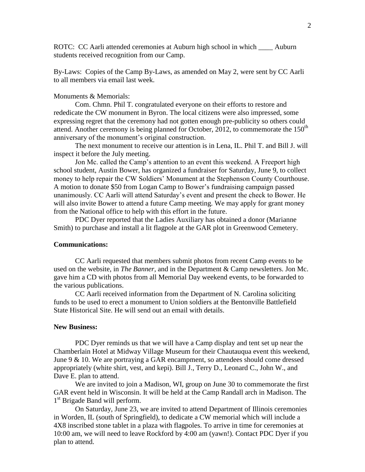ROTC: CC Aarli attended ceremonies at Auburn high school in which **Auburn** students received recognition from our Camp.

By-Laws: Copies of the Camp By-Laws, as amended on May 2, were sent by CC Aarli to all members via email last week.

## Monuments & Memorials:

Com. Chmn. Phil T. congratulated everyone on their efforts to restore and rededicate the CW monument in Byron. The local citizens were also impressed, some expressing regret that the ceremony had not gotten enough pre-publicity so others could attend. Another ceremony is being planned for October, 2012, to commemorate the  $150<sup>th</sup>$ anniversary of the monument's original construction.

The next monument to receive our attention is in Lena, IL. Phil T. and Bill J. will inspect it before the July meeting.

Jon Mc. called the Camp's attention to an event this weekend. A Freeport high school student, Austin Bower, has organized a fundraiser for Saturday, June 9, to collect money to help repair the CW Soldiers' Monument at the Stephenson County Courthouse. A motion to donate \$50 from Logan Camp to Bower's fundraising campaign passed unanimously. CC Aarli will attend Saturday's event and present the check to Bower. He will also invite Bower to attend a future Camp meeting. We may apply for grant money from the National office to help with this effort in the future.

PDC Dyer reported that the Ladies Auxiliary has obtained a donor (Marianne Smith) to purchase and install a lit flagpole at the GAR plot in Greenwood Cemetery.

## **Communications:**

CC Aarli requested that members submit photos from recent Camp events to be used on the website, in *The Banner,* and in the Department & Camp newsletters. Jon Mc. gave him a CD with photos from all Memorial Day weekend events, to be forwarded to the various publications.

CC Aarli received information from the Department of N. Carolina soliciting funds to be used to erect a monument to Union soldiers at the Bentonville Battlefield State Historical Site. He will send out an email with details.

#### **New Business:**

PDC Dyer reminds us that we will have a Camp display and tent set up near the Chamberlain Hotel at Midway Village Museum for their Chautauqua event this weekend, June 9 & 10. We are portraying a GAR encampment, so attendees should come dressed appropriately (white shirt, vest, and kepi). Bill J., Terry D., Leonard C., John W., and Dave E. plan to attend.

We are invited to join a Madison, WI, group on June 30 to commemorate the first GAR event held in Wisconsin. It will be held at the Camp Randall arch in Madison. The 1<sup>st</sup> Brigade Band will perform.

On Saturday, June 23, we are invited to attend Department of Illinois ceremonies in Worden, IL (south of Springfield), to dedicate a CW memorial which will include a 4X8 inscribed stone tablet in a plaza with flagpoles. To arrive in time for ceremonies at 10:00 am, we will need to leave Rockford by 4:00 am (yawn!). Contact PDC Dyer if you plan to attend.